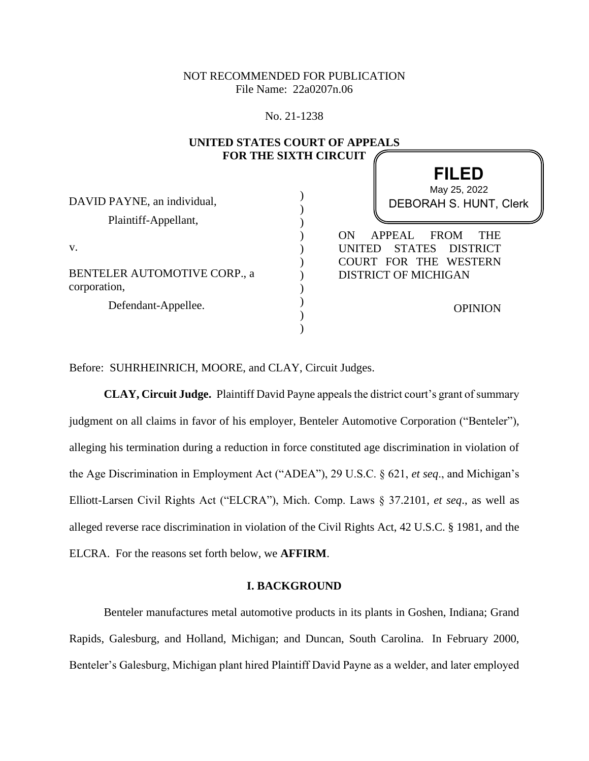# NOT RECOMMENDED FOR PUBLICATION File Name: 22a0207n.06

### No. 21-1238

**UNITED STATES COUPT OF APPEALS** 

| UNITED STATES COUNT OF ALL EALS<br><b>FOR THE SIXTH CIRCUIT</b> |                                                                                                        |
|-----------------------------------------------------------------|--------------------------------------------------------------------------------------------------------|
|                                                                 |                                                                                                        |
| DAVID PAYNE, an individual,                                     | <b>DEBORAH S. HUNT, Clerk</b>                                                                          |
| Plaintiff-Appellant,                                            |                                                                                                        |
| v.                                                              | <b>APPEAL</b><br><b>FROM</b><br>ON.<br><b>THE</b><br><b>STATES</b><br><b>DISTRICT</b><br><b>UNITED</b> |
| BENTELER AUTOMOTIVE CORP., a<br>corporation,                    | COURT FOR THE WESTERN<br><b>DISTRICT OF MICHIGAN</b>                                                   |
| Defendant-Appellee.                                             | <b>OPINION</b>                                                                                         |
|                                                                 |                                                                                                        |

Before: SUHRHEINRICH, MOORE, and CLAY, Circuit Judges.

**CLAY, Circuit Judge.** Plaintiff David Payne appeals the district court's grant of summary judgment on all claims in favor of his employer, Benteler Automotive Corporation ("Benteler"), alleging his termination during a reduction in force constituted age discrimination in violation of the Age Discrimination in Employment Act ("ADEA"), 29 U.S.C. § 621, *et seq*., and Michigan's Elliott-Larsen Civil Rights Act ("ELCRA"), Mich. Comp. Laws § 37.2101, *et seq*., as well as alleged reverse race discrimination in violation of the Civil Rights Act, 42 U.S.C. § 1981, and the ELCRA. For the reasons set forth below, we **AFFIRM**.

#### **I. BACKGROUND**

Benteler manufactures metal automotive products in its plants in Goshen, Indiana; Grand Rapids, Galesburg, and Holland, Michigan; and Duncan, South Carolina. In February 2000, Benteler's Galesburg, Michigan plant hired Plaintiff David Payne as a welder, and later employed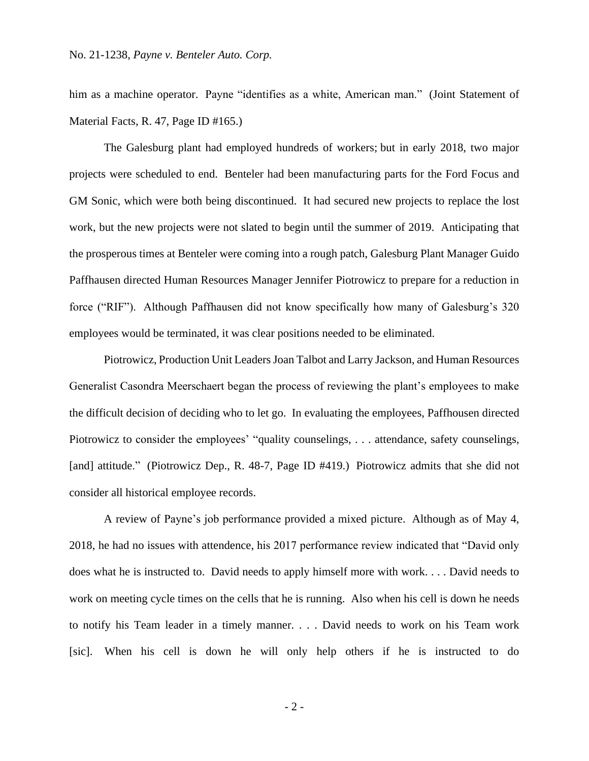him as a machine operator. Payne "identifies as a white, American man." (Joint Statement of Material Facts, R. 47, Page ID #165.)

The Galesburg plant had employed hundreds of workers; but in early 2018, two major projects were scheduled to end. Benteler had been manufacturing parts for the Ford Focus and GM Sonic, which were both being discontinued. It had secured new projects to replace the lost work, but the new projects were not slated to begin until the summer of 2019. Anticipating that the prosperous times at Benteler were coming into a rough patch, Galesburg Plant Manager Guido Paffhausen directed Human Resources Manager Jennifer Piotrowicz to prepare for a reduction in force ("RIF"). Although Paffhausen did not know specifically how many of Galesburg's 320 employees would be terminated, it was clear positions needed to be eliminated.

Piotrowicz, Production Unit Leaders Joan Talbot and Larry Jackson, and Human Resources Generalist Casondra Meerschaert began the process of reviewing the plant's employees to make the difficult decision of deciding who to let go. In evaluating the employees, Paffhousen directed Piotrowicz to consider the employees' "quality counselings, . . . attendance, safety counselings, [and] attitude." (Piotrowicz Dep., R. 48-7, Page ID #419.) Piotrowicz admits that she did not consider all historical employee records.

A review of Payne's job performance provided a mixed picture. Although as of May 4, 2018, he had no issues with attendence, his 2017 performance review indicated that "David only does what he is instructed to. David needs to apply himself more with work. . . . David needs to work on meeting cycle times on the cells that he is running. Also when his cell is down he needs to notify his Team leader in a timely manner. . . . David needs to work on his Team work [sic]. When his cell is down he will only help others if he is instructed to do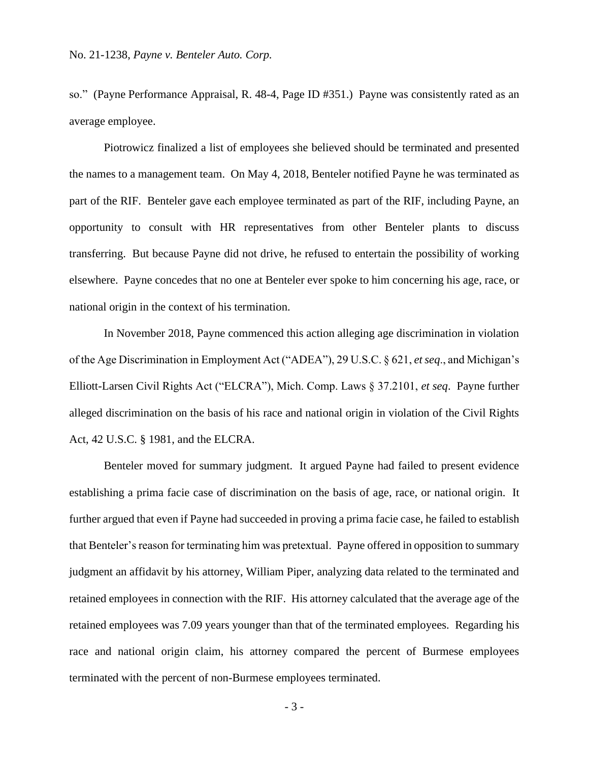so." (Payne Performance Appraisal, R. 48-4, Page ID #351.) Payne was consistently rated as an average employee.

Piotrowicz finalized a list of employees she believed should be terminated and presented the names to a management team. On May 4, 2018, Benteler notified Payne he was terminated as part of the RIF. Benteler gave each employee terminated as part of the RIF, including Payne, an opportunity to consult with HR representatives from other Benteler plants to discuss transferring. But because Payne did not drive, he refused to entertain the possibility of working elsewhere. Payne concedes that no one at Benteler ever spoke to him concerning his age, race, or national origin in the context of his termination.

In November 2018, Payne commenced this action alleging age discrimination in violation of the Age Discrimination in Employment Act ("ADEA"), 29 U.S.C. § 621, *et seq*., and Michigan's Elliott-Larsen Civil Rights Act ("ELCRA"), Mich. Comp. Laws § 37.2101, *et seq*. Payne further alleged discrimination on the basis of his race and national origin in violation of the Civil Rights Act, 42 U.S.C. § 1981, and the ELCRA.

Benteler moved for summary judgment. It argued Payne had failed to present evidence establishing a prima facie case of discrimination on the basis of age, race, or national origin. It further argued that even if Payne had succeeded in proving a prima facie case, he failed to establish that Benteler's reason for terminating him was pretextual. Payne offered in opposition to summary judgment an affidavit by his attorney, William Piper, analyzing data related to the terminated and retained employees in connection with the RIF. His attorney calculated that the average age of the retained employees was 7.09 years younger than that of the terminated employees. Regarding his race and national origin claim, his attorney compared the percent of Burmese employees terminated with the percent of non-Burmese employees terminated.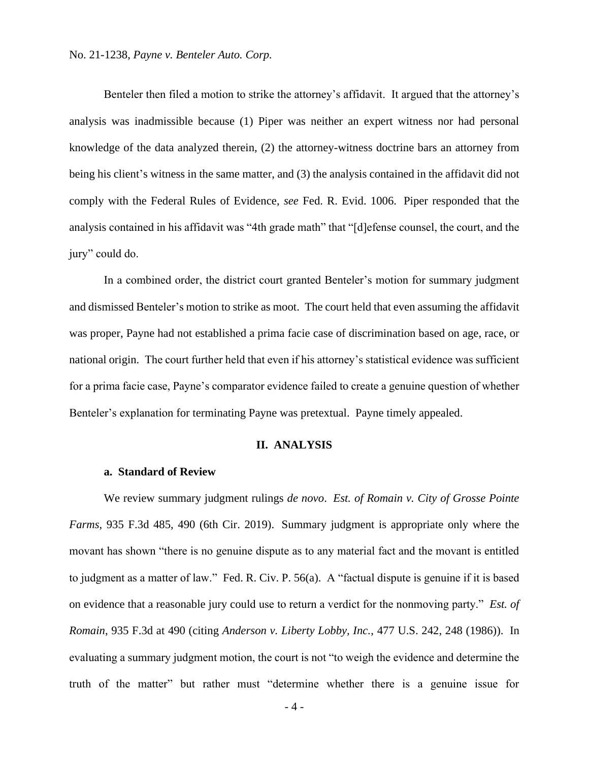#### No. 21-1238, *Payne v. Benteler Auto. Corp.*

Benteler then filed a motion to strike the attorney's affidavit. It argued that the attorney's analysis was inadmissible because (1) Piper was neither an expert witness nor had personal knowledge of the data analyzed therein, (2) the attorney-witness doctrine bars an attorney from being his client's witness in the same matter, and (3) the analysis contained in the affidavit did not comply with the Federal Rules of Evidence, *see* Fed. R. Evid. 1006. Piper responded that the analysis contained in his affidavit was "4th grade math" that "[d]efense counsel, the court, and the jury" could do.

In a combined order, the district court granted Benteler's motion for summary judgment and dismissed Benteler's motion to strike as moot. The court held that even assuming the affidavit was proper, Payne had not established a prima facie case of discrimination based on age, race, or national origin. The court further held that even if his attorney's statistical evidence was sufficient for a prima facie case, Payne's comparator evidence failed to create a genuine question of whether Benteler's explanation for terminating Payne was pretextual. Payne timely appealed.

## **II. ANALYSIS**

#### **a. Standard of Review**

We review summary judgment rulings *de novo*. *Est. of Romain v. City of Grosse Pointe Farms*, 935 F.3d 485, 490 (6th Cir. 2019). Summary judgment is appropriate only where the movant has shown "there is no genuine dispute as to any material fact and the movant is entitled to judgment as a matter of law." Fed. R. Civ. P. 56(a). A "factual dispute is genuine if it is based on evidence that a reasonable jury could use to return a verdict for the nonmoving party." *Est. of Romain*, 935 F.3d at 490 (citing *Anderson v. Liberty Lobby, Inc.*, 477 U.S. 242, 248 (1986)). In evaluating a summary judgment motion, the court is not "to weigh the evidence and determine the truth of the matter" but rather must "determine whether there is a genuine issue for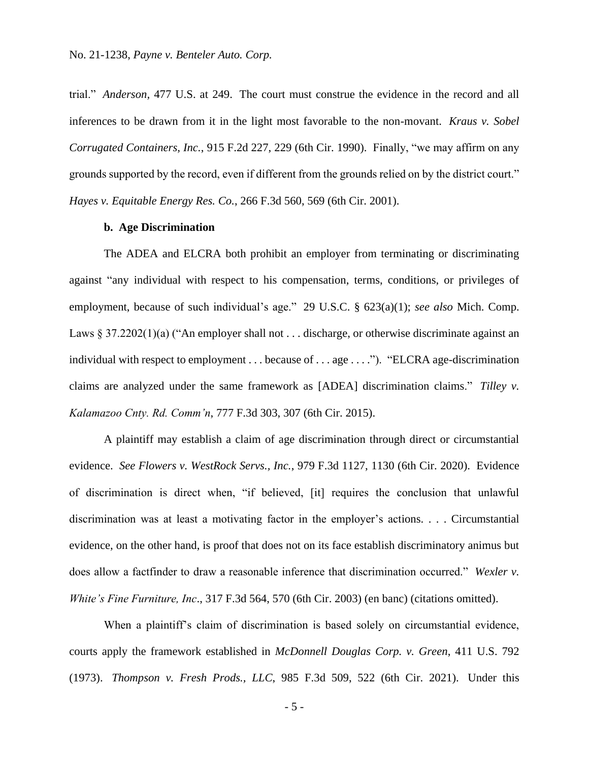trial." *Anderson,* 477 U.S. at 249. The court must construe the evidence in the record and all inferences to be drawn from it in the light most favorable to the non-movant. *Kraus v. Sobel Corrugated Containers, Inc.*, 915 F.2d 227, 229 (6th Cir. 1990). Finally, "we may affirm on any grounds supported by the record, even if different from the grounds relied on by the district court." *Hayes v. Equitable Energy Res. Co.*, 266 F.3d 560, 569 (6th Cir. 2001).

## **b. Age Discrimination**

The ADEA and ELCRA both prohibit an employer from terminating or discriminating against "any individual with respect to his compensation, terms, conditions, or privileges of employment, because of such individual's age." 29 U.S.C. § 623(a)(1); *see also* Mich. Comp. Laws  $\S 37.2202(1)(a)$  ("An employer shall not ... discharge, or otherwise discriminate against an individual with respect to employment . . . because of . . . age . . . ."). "ELCRA age-discrimination claims are analyzed under the same framework as [ADEA] discrimination claims." *Tilley v. Kalamazoo Cnty. Rd. Comm'n*, 777 F.3d 303, 307 (6th Cir. 2015).

A plaintiff may establish a claim of age discrimination through direct or circumstantial evidence. *See Flowers v. WestRock Servs., Inc.*, 979 F.3d 1127, 1130 (6th Cir. 2020). Evidence of discrimination is direct when, "if believed, [it] requires the conclusion that unlawful discrimination was at least a motivating factor in the employer's actions. . . . Circumstantial evidence, on the other hand, is proof that does not on its face establish discriminatory animus but does allow a factfinder to draw a reasonable inference that discrimination occurred." *Wexler v. White's Fine Furniture, Inc*., 317 F.3d 564, 570 (6th Cir. 2003) (en banc) (citations omitted).

When a plaintiff's claim of discrimination is based solely on circumstantial evidence, courts apply the framework established in *McDonnell Douglas Corp. v. Green*, 411 U.S. 792 (1973). *Thompson v. Fresh Prods., LLC*, 985 F.3d 509, 522 (6th Cir. 2021). Under this

- 5 -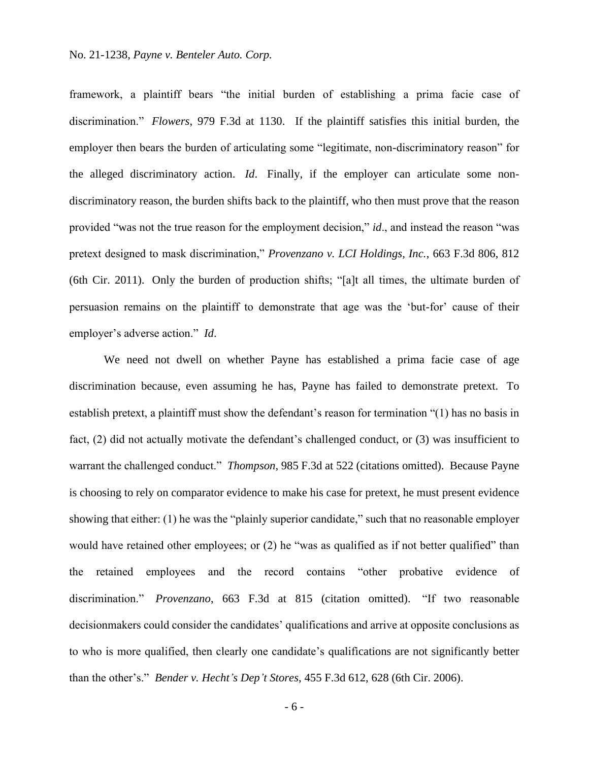framework, a plaintiff bears "the initial burden of establishing a prima facie case of discrimination." *Flowers*, 979 F.3d at 1130. If the plaintiff satisfies this initial burden, the employer then bears the burden of articulating some "legitimate, non-discriminatory reason" for the alleged discriminatory action. *Id*. Finally, if the employer can articulate some nondiscriminatory reason, the burden shifts back to the plaintiff, who then must prove that the reason provided "was not the true reason for the employment decision," *id*., and instead the reason "was pretext designed to mask discrimination," *Provenzano v. LCI Holdings, Inc.*, 663 F.3d 806, 812 (6th Cir. 2011). Only the burden of production shifts; "[a]t all times, the ultimate burden of persuasion remains on the plaintiff to demonstrate that age was the 'but-for' cause of their employer's adverse action." *Id*.

We need not dwell on whether Payne has established a prima facie case of age discrimination because, even assuming he has, Payne has failed to demonstrate pretext. To establish pretext, a plaintiff must show the defendant's reason for termination "(1) has no basis in fact, (2) did not actually motivate the defendant's challenged conduct, or (3) was insufficient to warrant the challenged conduct." *Thompson*, 985 F.3d at 522 (citations omitted). Because Payne is choosing to rely on comparator evidence to make his case for pretext, he must present evidence showing that either: (1) he was the "plainly superior candidate," such that no reasonable employer would have retained other employees; or (2) he "was as qualified as if not better qualified" than the retained employees and the record contains "other probative evidence of discrimination." *Provenzano*, 663 F.3d at 815 (citation omitted). "If two reasonable decisionmakers could consider the candidates' qualifications and arrive at opposite conclusions as to who is more qualified, then clearly one candidate's qualifications are not significantly better than the other's." *Bender v. Hecht's Dep't Stores*, 455 F.3d 612, 628 (6th Cir. 2006).

- 6 -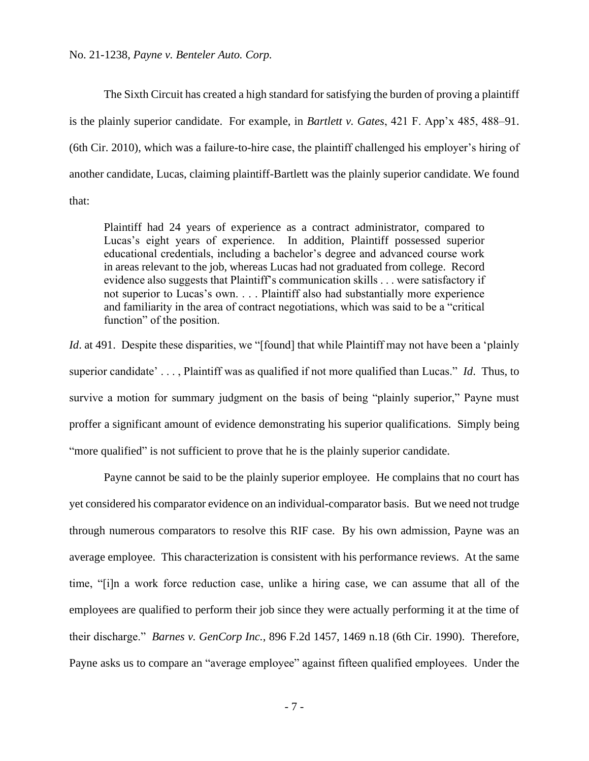The Sixth Circuit has created a high standard for satisfying the burden of proving a plaintiff is the plainly superior candidate. For example, in *Bartlett v. Gates*, 421 F. App'x 485, 488–91. (6th Cir. 2010), which was a failure-to-hire case, the plaintiff challenged his employer's hiring of another candidate, Lucas, claiming plaintiff-Bartlett was the plainly superior candidate. We found that:

Plaintiff had 24 years of experience as a contract administrator, compared to Lucas's eight years of experience. In addition, Plaintiff possessed superior educational credentials, including a bachelor's degree and advanced course work in areas relevant to the job, whereas Lucas had not graduated from college. Record evidence also suggests that Plaintiff's communication skills . . . were satisfactory if not superior to Lucas's own. . . . Plaintiff also had substantially more experience and familiarity in the area of contract negotiations, which was said to be a "critical function" of the position.

*Id.* at 491. Despite these disparities, we "[found] that while Plaintiff may not have been a 'plainly superior candidate' . . . , Plaintiff was as qualified if not more qualified than Lucas." *Id*. Thus, to survive a motion for summary judgment on the basis of being "plainly superior," Payne must proffer a significant amount of evidence demonstrating his superior qualifications. Simply being "more qualified" is not sufficient to prove that he is the plainly superior candidate.

Payne cannot be said to be the plainly superior employee. He complains that no court has yet considered his comparator evidence on an individual-comparator basis. But we need not trudge through numerous comparators to resolve this RIF case. By his own admission, Payne was an average employee. This characterization is consistent with his performance reviews. At the same time, "[i]n a work force reduction case, unlike a hiring case, we can assume that all of the employees are qualified to perform their job since they were actually performing it at the time of their discharge." *Barnes v. GenCorp Inc.*, 896 F.2d 1457, 1469 n.18 (6th Cir. 1990). Therefore, Payne asks us to compare an "average employee" against fifteen qualified employees. Under the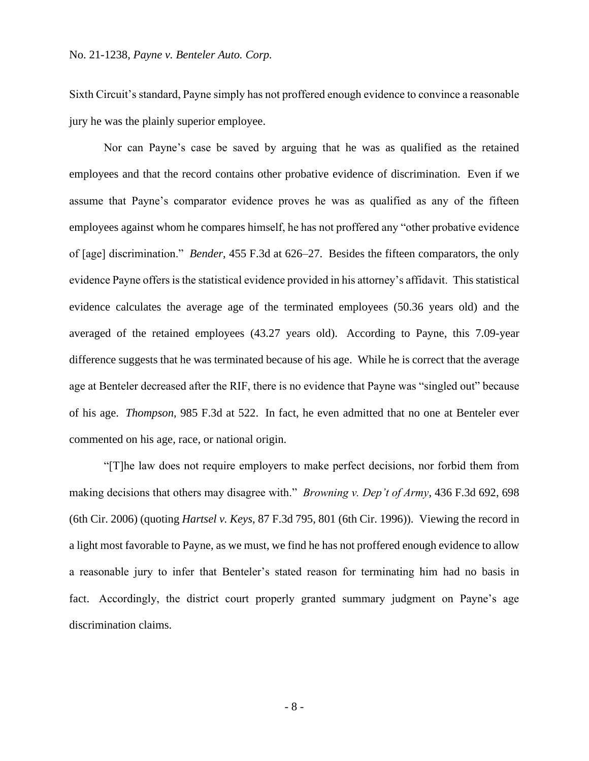Sixth Circuit's standard, Payne simply has not proffered enough evidence to convince a reasonable jury he was the plainly superior employee.

Nor can Payne's case be saved by arguing that he was as qualified as the retained employees and that the record contains other probative evidence of discrimination. Even if we assume that Payne's comparator evidence proves he was as qualified as any of the fifteen employees against whom he compares himself, he has not proffered any "other probative evidence of [age] discrimination." *Bender*, 455 F.3d at 626–27. Besides the fifteen comparators, the only evidence Payne offers is the statistical evidence provided in his attorney's affidavit. This statistical evidence calculates the average age of the terminated employees (50.36 years old) and the averaged of the retained employees (43.27 years old). According to Payne, this 7.09-year difference suggests that he was terminated because of his age. While he is correct that the average age at Benteler decreased after the RIF, there is no evidence that Payne was "singled out" because of his age. *Thompson*, 985 F.3d at 522. In fact, he even admitted that no one at Benteler ever commented on his age, race, or national origin.

"[T]he law does not require employers to make perfect decisions, nor forbid them from making decisions that others may disagree with." *Browning v. Dep't of Army*, 436 F.3d 692, 698 (6th Cir. 2006) (quoting *Hartsel v. Keys*, 87 F.3d 795, 801 (6th Cir. 1996)). Viewing the record in a light most favorable to Payne, as we must, we find he has not proffered enough evidence to allow a reasonable jury to infer that Benteler's stated reason for terminating him had no basis in fact. Accordingly, the district court properly granted summary judgment on Payne's age discrimination claims.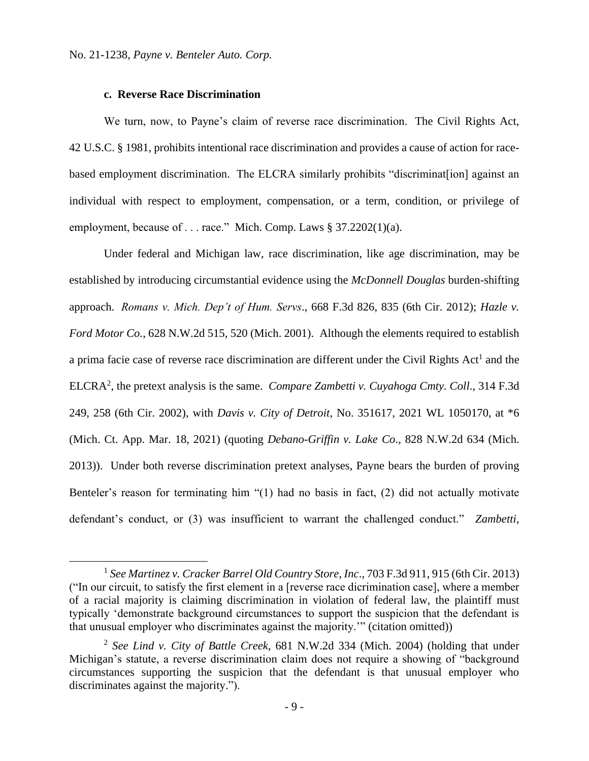## **c. Reverse Race Discrimination**

We turn, now, to Payne's claim of reverse race discrimination. The Civil Rights Act, 42 U.S.C. § 1981, prohibits intentional race discrimination and provides a cause of action for racebased employment discrimination. The ELCRA similarly prohibits "discriminat[ion] against an individual with respect to employment, compensation, or a term, condition, or privilege of employment, because of . . . race." Mich. Comp. Laws § 37.2202(1)(a).

Under federal and Michigan law, race discrimination, like age discrimination, may be established by introducing circumstantial evidence using the *McDonnell Douglas* burden-shifting approach. *Romans v. Mich. Dep't of Hum. Servs*., 668 F.3d 826, 835 (6th Cir. 2012); *Hazle v. Ford Motor Co.*, 628 N.W.2d 515, 520 (Mich. 2001). Although the elements required to establish a prima facie case of reverse race discrimination are different under the Civil Rights Act<sup>1</sup> and the ELCRA<sup>2</sup> , the pretext analysis is the same. *Compare Zambetti v. Cuyahoga Cmty. Coll*., 314 F.3d 249, 258 (6th Cir. 2002), with *Davis v. City of Detroit*, No. 351617, 2021 WL 1050170, at \*6 (Mich. Ct. App. Mar. 18, 2021) (quoting *Debano-Griffin v. Lake Co*., 828 N.W.2d 634 (Mich. 2013)). Under both reverse discrimination pretext analyses, Payne bears the burden of proving Benteler's reason for terminating him "(1) had no basis in fact, (2) did not actually motivate defendant's conduct, or (3) was insufficient to warrant the challenged conduct." *Zambetti*,

<sup>1</sup> *See Martinez v. Cracker Barrel Old Country Store, Inc*., 703 F.3d 911, 915 (6th Cir. 2013) ("In our circuit, to satisfy the first element in a [reverse race dicrimination case], where a member of a racial majority is claiming discrimination in violation of federal law, the plaintiff must typically 'demonstrate background circumstances to support the suspicion that the defendant is that unusual employer who discriminates against the majority.'" (citation omitted))

<sup>2</sup> *See Lind v. City of Battle Creek*, 681 N.W.2d 334 (Mich. 2004) (holding that under Michigan's statute, a reverse discrimination claim does not require a showing of "background circumstances supporting the suspicion that the defendant is that unusual employer who discriminates against the majority.").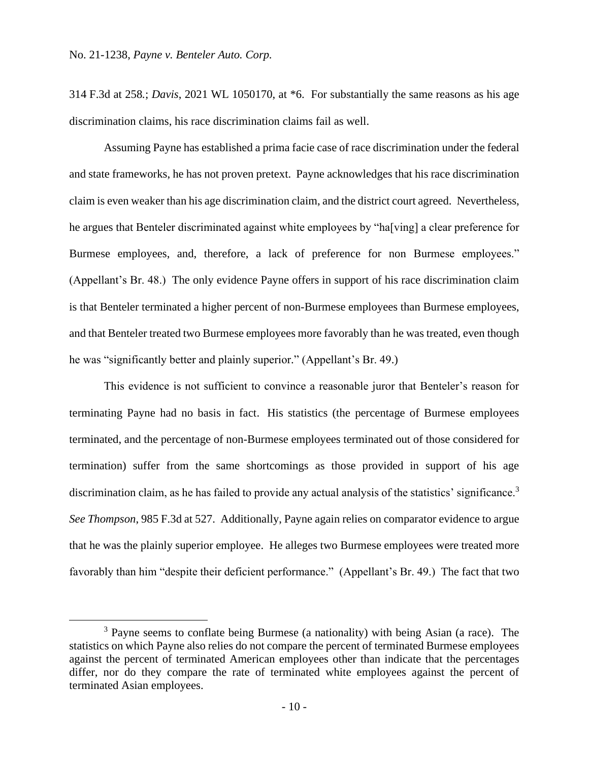314 F.3d at 258*.*; *Davis*, 2021 WL 1050170, at \*6. For substantially the same reasons as his age discrimination claims, his race discrimination claims fail as well.

Assuming Payne has established a prima facie case of race discrimination under the federal and state frameworks, he has not proven pretext. Payne acknowledges that his race discrimination claim is even weaker than his age discrimination claim, and the district court agreed. Nevertheless, he argues that Benteler discriminated against white employees by "ha[ving] a clear preference for Burmese employees, and, therefore, a lack of preference for non Burmese employees." (Appellant's Br. 48.) The only evidence Payne offers in support of his race discrimination claim is that Benteler terminated a higher percent of non-Burmese employees than Burmese employees, and that Benteler treated two Burmese employees more favorably than he was treated, even though he was "significantly better and plainly superior." (Appellant's Br. 49.)

This evidence is not sufficient to convince a reasonable juror that Benteler's reason for terminating Payne had no basis in fact. His statistics (the percentage of Burmese employees terminated, and the percentage of non-Burmese employees terminated out of those considered for termination) suffer from the same shortcomings as those provided in support of his age discrimination claim, as he has failed to provide any actual analysis of the statistics' significance.<sup>3</sup> *See Thompson*, 985 F.3d at 527. Additionally, Payne again relies on comparator evidence to argue that he was the plainly superior employee. He alleges two Burmese employees were treated more favorably than him "despite their deficient performance." (Appellant's Br. 49.) The fact that two

<sup>3</sup> Payne seems to conflate being Burmese (a nationality) with being Asian (a race). The statistics on which Payne also relies do not compare the percent of terminated Burmese employees against the percent of terminated American employees other than indicate that the percentages differ, nor do they compare the rate of terminated white employees against the percent of terminated Asian employees.